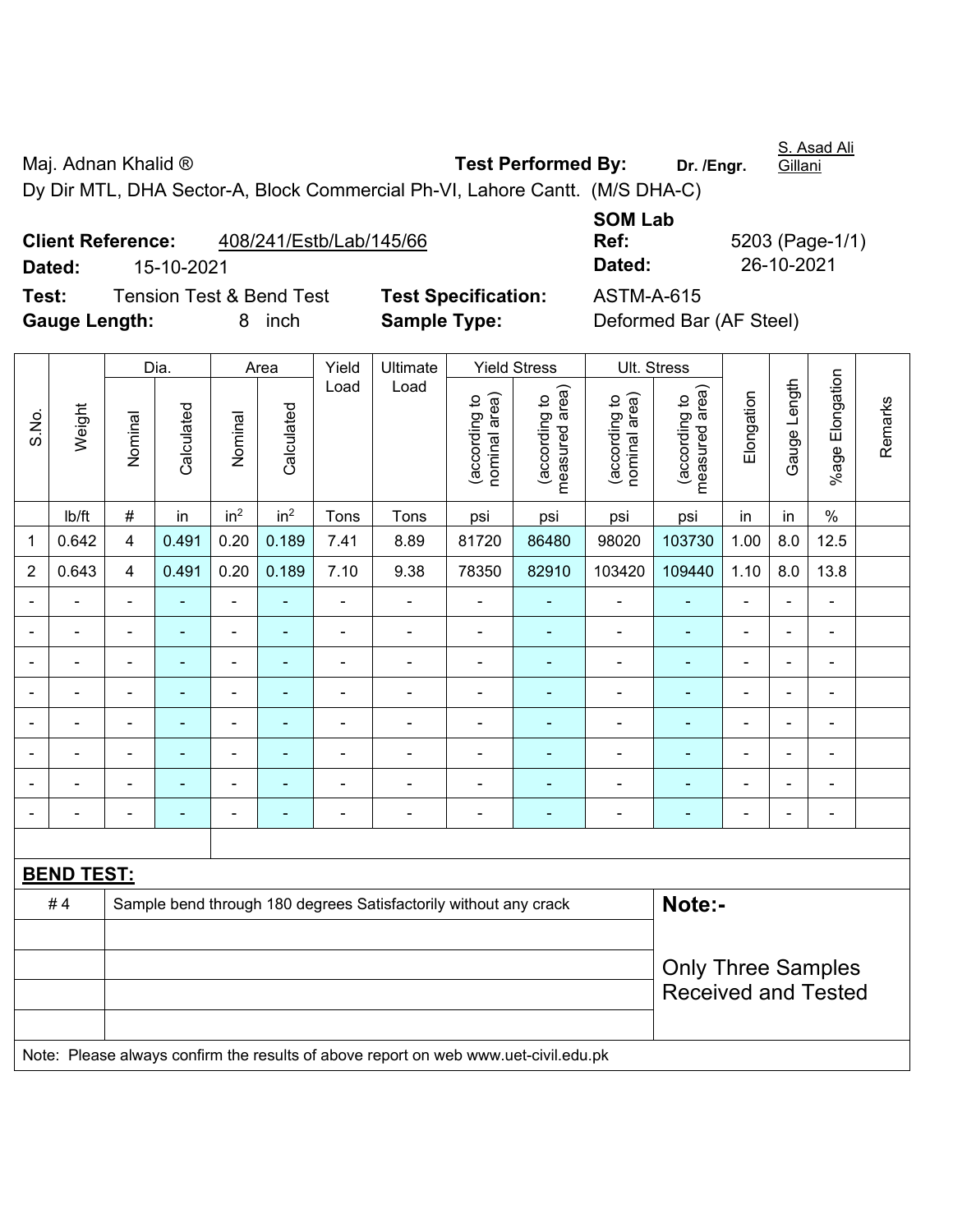Maj. Adnan Khalid ® **Test Performed By:** Dr. /Engr. S. Asad Ali **Gillani** 

Dy Dir MTL, DHA Sector-A, Block Commercial Ph-VI, Lahore Cantt. (M/S DHA-C)

**Client Reference:** 408/241/Estb/Lab/145/66 **Dated:** 15-10-2021 **Dated:** 26-10-2021 **Test:** Tension Test & Bend Test **Test Specification:** ASTM-A-615

Dia. Area Yield Ultimate Yield Stress Ult. Stress

**SOM Lab Ref:** 5203 (Page-1/1)

|                                                                                     |        |                                                                  | Dia.           |                          | Area                     | Yield          | Ultimate       |                                | Yield Stress                    | UII. Stress                    |                                 |                           |                |                          |         |  |
|-------------------------------------------------------------------------------------|--------|------------------------------------------------------------------|----------------|--------------------------|--------------------------|----------------|----------------|--------------------------------|---------------------------------|--------------------------------|---------------------------------|---------------------------|----------------|--------------------------|---------|--|
| S.No.                                                                               | Weight | Nominal                                                          | Calculated     | Nominal                  | Calculated               | Load           | Load           | (according to<br>nominal area) | (according to<br>measured area) | (according to<br>nominal area) | (according to<br>measured area) | Elongation                | Gauge Length   | %age Elongation          | Remarks |  |
|                                                                                     | lb/ft  | $\#$                                                             | in             | in <sup>2</sup>          | in <sup>2</sup>          | Tons           | Tons           | psi                            | psi                             | psi                            | psi                             | in                        | in             | $\%$                     |         |  |
| 1                                                                                   | 0.642  | 4                                                                | 0.491          | 0.20                     | 0.189                    | 7.41           | 8.89           | 81720                          | 86480                           | 98020                          | 103730                          | 1.00                      | 8.0            | 12.5                     |         |  |
| $\overline{2}$                                                                      | 0.643  | 4                                                                | 0.491          | 0.20                     | 0.189                    | 7.10           | 9.38           | 78350                          | 82910                           | 103420                         | 109440                          | 1.10                      | 8.0            | 13.8                     |         |  |
| $\blacksquare$                                                                      |        | $\blacksquare$                                                   | $\blacksquare$ | $\blacksquare$           | ÷,                       | $\blacksquare$ | ÷,             | ä,                             | ÷                               | $\overline{\phantom{a}}$       | ÷                               | $\blacksquare$            | $\blacksquare$ | $\blacksquare$           |         |  |
|                                                                                     |        | ÷,                                                               | $\blacksquare$ | $\blacksquare$           | ÷                        | ÷,             | ÷,             | ä,                             |                                 | $\blacksquare$                 | ÷                               | $\blacksquare$            | ÷,             | $\blacksquare$           |         |  |
|                                                                                     |        | $\blacksquare$                                                   | $\blacksquare$ | $\overline{\phantom{0}}$ | ٠                        | $\blacksquare$ | ÷,             | $\blacksquare$                 | ÷                               | $\blacksquare$                 | ٠                               | $\blacksquare$            | ä,             | $\blacksquare$           |         |  |
|                                                                                     |        |                                                                  | $\blacksquare$ | ۰                        |                          |                | $\blacksquare$ | L.                             |                                 | ٠                              | ÷                               |                           |                |                          |         |  |
|                                                                                     |        | $\overline{a}$                                                   | $\blacksquare$ | ۰                        |                          |                | $\blacksquare$ | $\blacksquare$                 |                                 | $\blacksquare$                 | ÷                               | $\blacksquare$            | $\blacksquare$ |                          |         |  |
|                                                                                     |        | Ē,                                                               |                | $\blacksquare$           |                          | $\overline{a}$ | ÷              | ä,                             |                                 | Ē,                             | ۰                               | $\blacksquare$            | $\blacksquare$ | $\blacksquare$           |         |  |
|                                                                                     |        |                                                                  |                | $\blacksquare$           |                          |                | $\blacksquare$ | $\blacksquare$                 |                                 | Ē,                             | ÷                               |                           | $\blacksquare$ | $\overline{\phantom{0}}$ |         |  |
|                                                                                     |        | $\blacksquare$                                                   | $\blacksquare$ | ÷                        | $\overline{\phantom{0}}$ | $\blacksquare$ | $\blacksquare$ | $\blacksquare$                 | ۰                               | $\overline{\phantom{a}}$       | $\blacksquare$                  | $\blacksquare$            | ä,             | $\blacksquare$           |         |  |
|                                                                                     |        |                                                                  |                |                          |                          |                |                |                                |                                 |                                |                                 |                           |                |                          |         |  |
| <b>BEND TEST:</b>                                                                   |        |                                                                  |                |                          |                          |                |                |                                |                                 |                                |                                 |                           |                |                          |         |  |
|                                                                                     | #4     | Sample bend through 180 degrees Satisfactorily without any crack |                |                          |                          |                |                |                                |                                 |                                | Note:-                          |                           |                |                          |         |  |
|                                                                                     |        |                                                                  |                |                          |                          |                |                |                                |                                 |                                |                                 |                           |                |                          |         |  |
|                                                                                     |        |                                                                  |                |                          |                          |                |                |                                |                                 |                                |                                 | <b>Only Three Samples</b> |                |                          |         |  |
|                                                                                     |        |                                                                  |                |                          |                          |                |                |                                |                                 |                                | <b>Received and Tested</b>      |                           |                |                          |         |  |
|                                                                                     |        |                                                                  |                |                          |                          |                |                |                                |                                 |                                |                                 |                           |                |                          |         |  |
| Note: Please always confirm the results of above report on web www.uet-civil.edu.pk |        |                                                                  |                |                          |                          |                |                |                                |                                 |                                |                                 |                           |                |                          |         |  |
|                                                                                     |        |                                                                  |                |                          |                          |                |                |                                |                                 |                                |                                 |                           |                |                          |         |  |

 $\perp$ 

**Gauge Length:** 8 inch **Sample Type:** Deformed Bar (AF Steel)